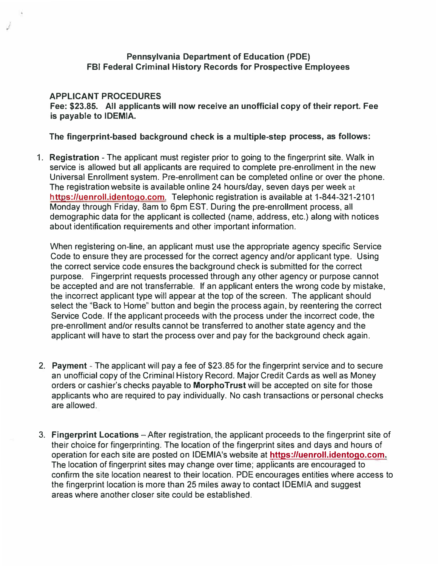## **Pennsylvania Department of Education (PDE) FBI Federal Criminal History Records for Prospective Employees**

## **APPLICANT PROCEDURES**

**Fee: \$23.85. All applicants will now receive an unofficial copy of their report. Fee is payable to IDEMIA.** 

## **The fingerprint-based background check is a multiple-step process, as follows:**

1. **Registration** - The applicant must register prior to going to the fingerprint site. Walk in service is allowed but all applicants are required to complete pre-enrollment in the new Universal Enrollment system. Pre-enrollment can be completed online or over the phone. The registration website is available online 24 hours/day, seven days per week at https://uenroll.identogo.com. Telephonic registration is available at 1-844-321-2101 Monday through Friday, 8am to 6pm EST. During the pre-enrollment process, all demographic data for the applicant is collected (name, address, etc.) along with notices about identification requirements and other important information.

When registering on-line, an applicant must use the appropriate agency specific Service Code to ensure they are processed for the correct agency and/or applicant type. Using the correct service code ensures the background check is submitted for the correct purpose. Fingerprint requests processed through any other agency or purpose cannot be accepted and are not transferrable. If an applicant enters the wrong code by mistake, the incorrect applicant type will appear at the top of the screen. The applicant should select the "Back to Home" button and begin the process again, by reentering the correct Service Code. If the applicant proceeds with the process under the incorrect code, the pre-enrollment and/or results cannot be transferred to another state agency and the applicant will have to start the process over and pay for the background check again.

- 2. **Payment** The applicant will pay a fee of \$23.85 for the fingerprint service and to secure an unofficial copy of the Criminal History Record. Major Credit Cards as well as Money orders or cashier's checks payable to **MorphoTrust** will be accepted on site for those applicants who are required to pay individually. No cash transactions or personal checks are allowed.
- 3. **Fingerprint Locations**  After registration, the applicant proceeds to the fingerprint site of their choice for fingerprinting. The location of the fingerprint sites and days and hours of operation for each site are posted on IDEMIA's website at **https:1/uenroll.identogo.com.**  The location of fingerprint sites may change over time; applicants are encouraged to confirm the site location nearest to their location. PDE encourages entities where access to the fingerprint location is more than 25 miles away to contact IDEMIA and suggest areas where another closer site could be established.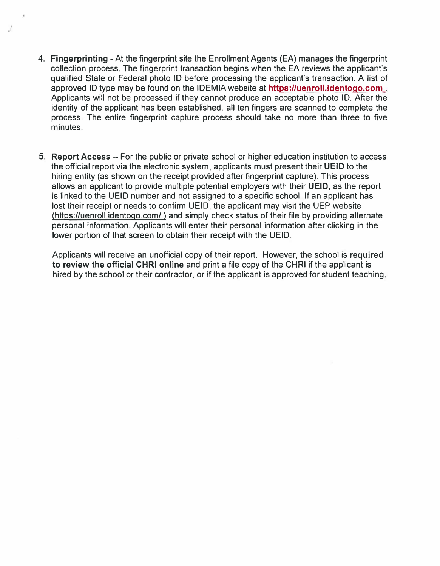4. **Fingerprinting** - At the fingerprint site the Enrollment Agents (EA) manages the fingerprint collection process. The fingerprint transaction begins when the EA reviews the applicant's qualified State or Federal photo ID before processing the applicant's transaction. A list of approved ID type may be found on the IDEMIA website at **https://uenroll.identogo.com** . Applicants will not be processed if they cannot produce an acceptable photo ID. After the identity of the applicant has been established, all ten fingers are scanned to complete the process. The entire fingerprint capture process should take no more than three to five minutes.

/

5. **Report Access** - For the public or private school or higher education institution to access the official report via the electronic system, applicants must present their **UEID** to the hiring entity (as shown on the receipt provided after fingerprint capture). This process allows an applicant to provide multiple potential employers with their **UEID,** as the report is linked to the UEID number and not assigned to a specific school. If an applicant has lost their receipt or needs to confirm UEID, the applicant may visit the UEP website (https://uenroll.identogo.com/) and simply check status of their file by providing alternate personal information. Applicants will enter their personal information after clicking in the lower portion of that screen to obtain their receipt with the UEID.

Applicants will receive an unofficial copy of their report. However, the school is **required to review the official CHRI online** and print a file copy of the CHRI if the applicant is hired by the school or their contractor, or if the applicant is approved for student teaching.